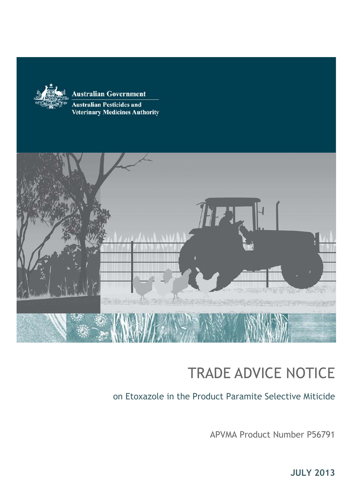

#### **Australian Government**

**Australian Pesticides and Veterinary Medicines Authority** 



# TRADE ADVICE NOTICE

on Etoxazole in the Product Paramite Selective Miticide

APVMA Product Number P56791

**JULY 2013**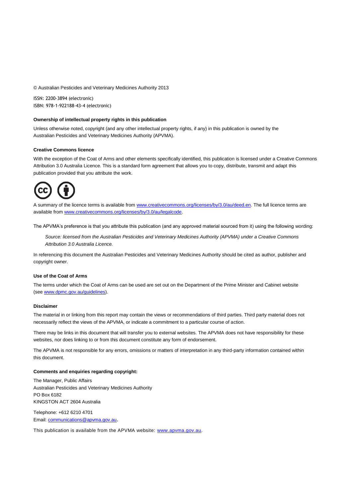© Australian Pesticides and Veterinary Medicines Authority 2013

ISSN: 2200-3894 (electronic) ISBN: 978-1-922188-43-4 (electronic)

#### **Ownership of intellectual property rights in this publication**

Unless otherwise noted, copyright (and any other intellectual property rights, if any) in this publication is owned by the Australian Pesticides and Veterinary Medicines Authority (APVMA).

#### **Creative Commons licence**

With the exception of the Coat of Arms and other elements specifically identified, this publication is licensed under a Creative Commons Attribution 3.0 Australia Licence. This is a standard form agreement that allows you to copy, distribute, transmit and adapt this publication provided that you attribute the work.



A summary of the licence terms is available from [www.creativecommons.org/licenses/by/3.0/au/deed.en.](http://www.creativecommons.org/licenses/by/3.0/au/deed.en) The full licence terms are available fro[m www.creativecommons.org/licenses/by/3.0/au/legalcode.](http://www.creativecommons.org/licenses/by/3.0/au/legalcode)

The APVMA's preference is that you attribute this publication (and any approved material sourced from it) using the following wording:

*Source: licensed from the Australian Pesticides and Veterinary Medicines Authority (APVMA) under a Creative Commons Attribution 3.0 Australia Licence.*

In referencing this document the Australian Pesticides and Veterinary Medicines Authority should be cited as author, publisher and copyright owner.

#### **Use of the Coat of Arms**

The terms under which the Coat of Arms can be used are set out on the Department of the Prime Minister and Cabinet website (se[e www.dpmc.gov.au/guidelines\)](http://www.dpmc.gov.au/guidelines/).

#### **Disclaimer**

The material in or linking from this report may contain the views or recommendations of third parties. Third party material does not necessarily reflect the views of the APVMA, or indicate a commitment to a particular course of action.

There may be links in this document that will transfer you to external websites. The APVMA does not have responsibility for these websites, nor does linking to or from this document constitute any form of endorsement.

The APVMA is not responsible for any errors, omissions or matters of interpretation in any third-party information contained within this document.

#### **Comments and enquiries regarding copyright:**

The Manager, Public Affairs Australian Pesticides and Veterinary Medicines Authority PO Box 6182 KINGSTON ACT 2604 Australia

Telephone: +612 6210 4701 Email: [communications@apvma.gov.au](mailto:communications@apvma.gov.au).

This publication is available from the APVMA website: [www.apvma.gov.au.](http://www.apvma.gov.au/)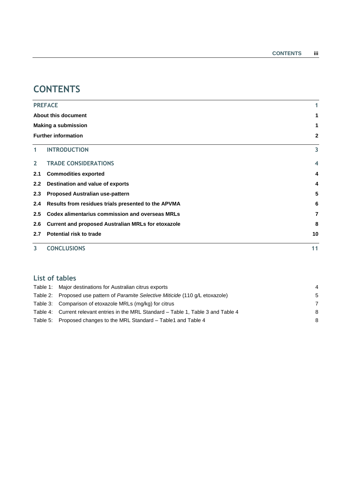# **CONTENTS**

|                  | <b>PREFACE</b>                                            | 1  |  |  |  |
|------------------|-----------------------------------------------------------|----|--|--|--|
|                  | About this document                                       |    |  |  |  |
|                  | <b>Making a submission</b>                                |    |  |  |  |
|                  | <b>Further information</b>                                | 2  |  |  |  |
| $\mathbf{1}$     | <b>INTRODUCTION</b>                                       | 3  |  |  |  |
| $\overline{2}$   | <b>TRADE CONSIDERATIONS</b>                               | 4  |  |  |  |
| 2.1              | <b>Commodities exported</b>                               | 4  |  |  |  |
| $2.2\phantom{0}$ | Destination and value of exports                          | 4  |  |  |  |
| 2.3              | <b>Proposed Australian use-pattern</b>                    | 5  |  |  |  |
| 2.4              | Results from residues trials presented to the APVMA       | 6  |  |  |  |
| 2.5              | <b>Codex alimentarius commission and overseas MRLs</b>    | 7  |  |  |  |
| 2.6              | <b>Current and proposed Australian MRLs for etoxazole</b> | 8  |  |  |  |
| 2.7              | Potential risk to trade                                   | 10 |  |  |  |
| 3                | <b>CONCLUSIONS</b>                                        | 11 |  |  |  |

#### **List of tables**

| Table 1: Major destinations for Australian citrus exports                            |   |
|--------------------------------------------------------------------------------------|---|
| Table 2: Proposed use pattern of Paramite Selective Miticide (110 g/L etoxazole)     | 5 |
| Table 3: Comparison of etoxazole MRLs (mg/kg) for citrus                             |   |
| Table 4: Current relevant entries in the MRL Standard – Table 1, Table 3 and Table 4 | 8 |
| Table 5: Proposed changes to the MRL Standard – Table 1 and Table 4                  | 8 |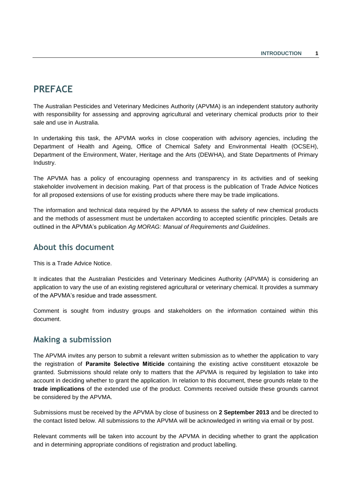# <span id="page-3-0"></span>**PREFACE**

The Australian Pesticides and Veterinary Medicines Authority (APVMA) is an independent statutory authority with responsibility for assessing and approving agricultural and veterinary chemical products prior to their sale and use in Australia.

In undertaking this task, the APVMA works in close cooperation with advisory agencies, including the Department of Health and Ageing, Office of Chemical Safety and Environmental Health (OCSEH), Department of the Environment, Water, Heritage and the Arts (DEWHA), and State Departments of Primary Industry.

The APVMA has a policy of encouraging openness and transparency in its activities and of seeking stakeholder involvement in decision making. Part of that process is the publication of Trade Advice Notices for all proposed extensions of use for existing products where there may be trade implications.

The information and technical data required by the APVMA to assess the safety of new chemical products and the methods of assessment must be undertaken according to accepted scientific principles. Details are outlined in the APVMA's publication *Ag MORAG: Manual of Requirements and Guidelines*.

### <span id="page-3-1"></span>**About this document**

This is a Trade Advice Notice.

It indicates that the Australian Pesticides and Veterinary Medicines Authority (APVMA) is considering an application to vary the use of an existing registered agricultural or veterinary chemical. It provides a summary of the APVMA's residue and trade assessment.

Comment is sought from industry groups and stakeholders on the information contained within this document.

### <span id="page-3-2"></span>**Making a submission**

The APVMA invites any person to submit a relevant written submission as to whether the application to vary the registration of **Paramite Selective Miticide** containing the existing active constituent etoxazole be granted. Submissions should relate only to matters that the APVMA is required by legislation to take into account in deciding whether to grant the application. In relation to this document, these grounds relate to the **trade implications** of the extended use of the product. Comments received outside these grounds cannot be considered by the APVMA.

Submissions must be received by the APVMA by close of business on **2 September 2013** and be directed to the contact listed below. All submissions to the APVMA will be acknowledged in writing via email or by post.

Relevant comments will be taken into account by the APVMA in deciding whether to grant the application and in determining appropriate conditions of registration and product labelling.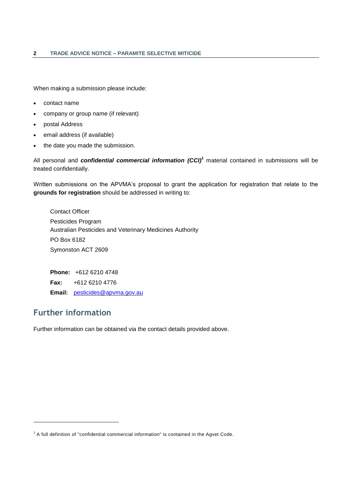When making a submission please include:

- contact name
- company or group name (if relevant)
- postal Address
- email address (if available)
- the date you made the submission.

All personal and *confidential commercial information (CCI)<sup>1</sup>* material contained in submissions will be treated confidentially.

Written submissions on the APVMA's proposal to grant the application for registration that relate to the **grounds for registration** should be addressed in writing to:

Contact Officer Pesticides Program Australian Pesticides and Veterinary Medicines Authority PO Box 6182 Symonston ACT 2609

**Phone:** +612 6210 4748 **Fax:** +612 6210 4776 **Email:** [pesticides@apvma.gov.au](mailto:pesticides@apvma.gov.au)

### <span id="page-4-0"></span>**Further information**

1

Further information can be obtained via the contact details provided above.

<sup>&</sup>lt;sup>1</sup> A full definition of "confidential commercial information" is contained in the Agvet Code.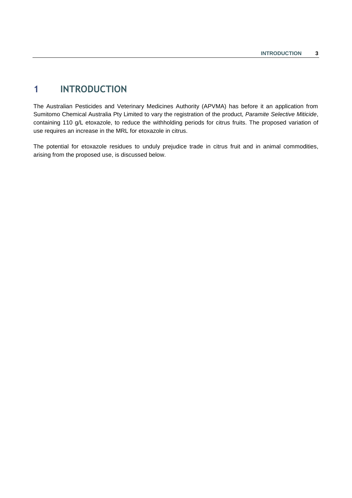# <span id="page-5-0"></span>**1 INTRODUCTION**

The Australian Pesticides and Veterinary Medicines Authority (APVMA) has before it an application from Sumitomo Chemical Australia Pty Limited to vary the registration of the product, *Paramite Selective Miticide*, containing 110 g/L etoxazole, to reduce the withholding periods for citrus fruits. The proposed variation of use requires an increase in the MRL for etoxazole in citrus.

The potential for etoxazole residues to unduly prejudice trade in citrus fruit and in animal commodities, arising from the proposed use, is discussed below.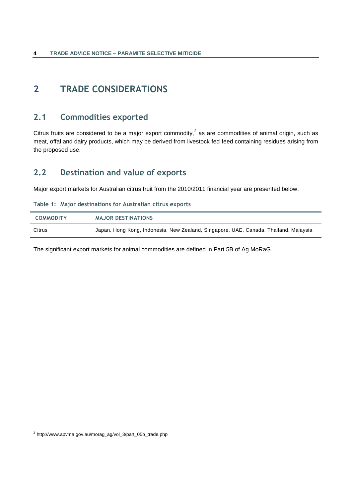# <span id="page-6-1"></span><span id="page-6-0"></span>**2 TRADE CONSIDERATIONS**

### **2.1 Commodities exported**

Citrus fruits are considered to be a major export commodity,<sup>2</sup> as are commodities of animal origin, such as meat, offal and dairy products, which may be derived from livestock fed feed containing residues arising from the proposed use.

# <span id="page-6-2"></span>**2.2 Destination and value of exports**

Major export markets for Australian citrus fruit from the 2010/2011 financial year are presented below.

<span id="page-6-3"></span>

|  |  | Table 1: Major destinations for Australian citrus exports |  |  |  |  |
|--|--|-----------------------------------------------------------|--|--|--|--|
|--|--|-----------------------------------------------------------|--|--|--|--|

| <b>COMMODITY</b> | <b>MAJOR DESTINATIONS</b>                                                            |
|------------------|--------------------------------------------------------------------------------------|
| Citrus           | Japan, Hong Kong, Indonesia, New Zealand, Singapore, UAE, Canada, Thailand, Malaysia |

The significant export markets for animal commodities are defined in Part 5B of Ag MoRaG.

 2 http://www.apvma.gov.au/morag\_ag/vol\_3/part\_05b\_trade.php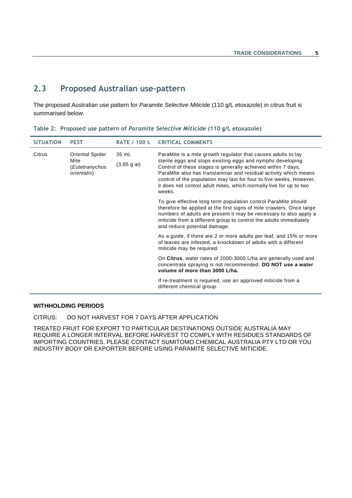# <span id="page-7-0"></span>**2.3 Proposed Australian use-pattern**

The proposed Australian use pattern for *Paramite Selective Miticide* (110 g/L etoxazole) in citrus fruit is summarised below.

<span id="page-7-1"></span>

|  |  | Table 2: Proposed use pattern of Paramite Selective Miticide (110 g/L etoxazole) |  |  |
|--|--|----------------------------------------------------------------------------------|--|--|
|--|--|----------------------------------------------------------------------------------|--|--|

| <b>SITUATION</b> | <b>PEST</b>                                                     | <b>RATE / 100 L</b>           | <b>CRITICAL COMMENTS</b>                                                                                                                                                                                                                                                                                                                                                                                                |
|------------------|-----------------------------------------------------------------|-------------------------------|-------------------------------------------------------------------------------------------------------------------------------------------------------------------------------------------------------------------------------------------------------------------------------------------------------------------------------------------------------------------------------------------------------------------------|
| Citrus           | <b>Oriental Spider</b><br>Mite<br>(Eutetranychus<br>orientalis) | $35 \text{ mL}$<br>(3.85 gai) | ParaMite is a mite growth regulator that causes adults to lay<br>sterile eggs and stops existing eggs and nymphs developing.<br>Control of these stages is generally achieved within 7 days.<br>ParaMite also has translaminar and residual activity which means<br>control of the population may last for four to five weeks. However,<br>it does not control adult mites, which normally live for up to two<br>weeks. |
|                  |                                                                 |                               | To give effective long term population control ParaMite should<br>therefore be applied at the first signs of mite crawlers. Once large<br>numbers of adults are present it may be necessary to also apply a<br>miticide from a different group to control the adults immediately<br>and reduce potential damage.                                                                                                        |
|                  |                                                                 |                               | As a guide, if there are 2 or more adults per leaf, and 15% or more<br>of leaves are infested, a knockdown of adults with a different<br>miticide may be required.                                                                                                                                                                                                                                                      |
|                  |                                                                 |                               | On Citrus, water rates of 2000-3000 L/ha are generally used and<br>concentrate spraying is not recommended. DO NOT use a water<br>volume of more than 3000 L/ha.                                                                                                                                                                                                                                                        |
|                  |                                                                 |                               | If re-treatment is required, use an approved miticide from a<br>different chemical group.                                                                                                                                                                                                                                                                                                                               |

#### **WITHHOLDING PERIODS**

CITRUS: DO NOT HARVEST FOR 7 DAYS AFTER APPLICATION

TREATED FRUIT FOR EXPORT TO PARTICULAR DESTINATIONS OUTSIDE AUSTRALIA MAY REQUIRE A LONGER INTERVAL BEFORE HARVEST TO COMPLY WITH RESIDUES STANDARDS OF IMPORTING COUNTRIES. PLEASE CONTACT SUMITOMO CHEMICAL AUSTRALIA PTY LTD OR YOU INDUSTRY BODY OR EXPORTER BEFORE USING PARAMITE SELECTIVE MITICIDE.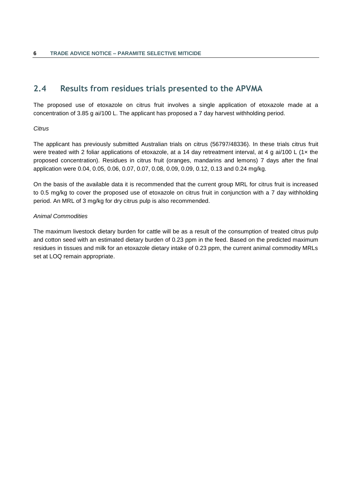# <span id="page-8-0"></span>**2.4 Results from residues trials presented to the APVMA**

The proposed use of etoxazole on citrus fruit involves a single application of etoxazole made at a concentration of 3.85 g ai/100 L. The applicant has proposed a 7 day harvest withholding period.

#### *Citrus*

The applicant has previously submitted Australian trials on citrus (56797/48336). In these trials citrus fruit were treated with 2 foliar applications of etoxazole, at a 14 day retreatment interval, at 4 g ai/100 L (1x the proposed concentration). Residues in citrus fruit (oranges, mandarins and lemons) 7 days after the final application were 0.04, 0.05, 0.06, 0.07, 0.07, 0.08, 0.09, 0.09, 0.12, 0.13 and 0.24 mg/kg.

On the basis of the available data it is recommended that the current group MRL for citrus fruit is increased to 0.5 mg/kg to cover the proposed use of etoxazole on citrus fruit in conjunction with a 7 day withholding period. An MRL of 3 mg/kg for dry citrus pulp is also recommended.

#### *Animal Commodities*

The maximum livestock dietary burden for cattle will be as a result of the consumption of treated citrus pulp and cotton seed with an estimated dietary burden of 0.23 ppm in the feed. Based on the predicted maximum residues in tissues and milk for an etoxazole dietary intake of 0.23 ppm, the current animal commodity MRLs set at LOQ remain appropriate.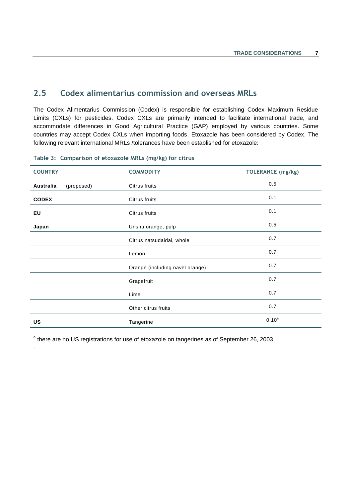### <span id="page-9-0"></span>**2.5 Codex alimentarius commission and overseas MRLs**

The Codex Alimentarius Commission (Codex) is responsible for establishing Codex Maximum Residue Limits (CXLs) for pesticides. Codex CXLs are primarily intended to facilitate international trade, and accommodate differences in Good Agricultural Practice (GAP) employed by various countries. Some countries may accept Codex CXLs when importing foods. Etoxazole has been considered by Codex. The following relevant international MRLs /tolerances have been established for etoxazole:

| <b>COUNTRY</b> |            | <b>COMMODITY</b>                | <b>TOLERANCE</b> (mg/kg) |
|----------------|------------|---------------------------------|--------------------------|
| Australia      | (proposed) | Citrus fruits                   | 0.5                      |
| <b>CODEX</b>   |            | Citrus fruits                   | 0.1                      |
| EU             |            | Citrus fruits                   | 0.1                      |
| Japan          |            | Unshu orange, pulp              | 0.5                      |
|                |            | Citrus natsudaidai, whole       | 0.7                      |
|                |            | Lemon                           | 0.7                      |
|                |            | Orange (including navel orange) | 0.7                      |
|                |            | Grapefruit                      | 0.7                      |
|                |            | Lime                            | 0.7                      |
|                |            | Other citrus fruits             | 0.7                      |
| US             |            | Tangerine                       | $0.10^{a}$               |

#### <span id="page-9-1"></span>**Table 3: Comparison of etoxazole MRLs (mg/kg) for citrus**

.

<sup>a</sup> there are no US registrations for use of etoxazole on tangerines as of September 26, 2003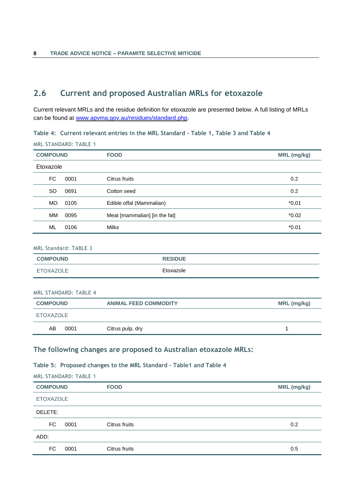### <span id="page-10-0"></span>**2.6 Current and proposed Australian MRLs for etoxazole**

Current relevant MRLs and the residue definition for etoxazole are presented below. A full listing of MRLs can be found at [www.apvma.gov.au/residues/standard.php.](http://www.apvma.gov.au/residues/standard.php)

<span id="page-10-1"></span>**Table 4: Current relevant entries in the MRL Standard – Table 1, Table 3 and Table 4**

MRL STANDARD: TABLE 1

| <b>COMPOUND</b> |      | <b>FOOD</b>                   | <b>MRL</b> (mg/kg) |
|-----------------|------|-------------------------------|--------------------|
| Etoxazole       |      |                               |                    |
| FC              | 0001 | Citrus fruits                 | 0.2                |
| <b>SO</b>       | 0691 | Cotton seed                   | 0.2                |
| <b>MO</b>       | 0105 | Edible offal (Mammalian)      | $*0.01$            |
| MM              | 0095 | Meat [mammalian] [in the fat] | $*0.02$            |
| ML              | 0106 | Milks                         | $*0.01$            |
|                 |      |                               |                    |

#### MRL Standard: TABLE 3

| <b>COMPOUND</b> | <b>RESIDUE</b> |
|-----------------|----------------|
| ETOXAZOLE       | Etoxazole      |

#### MRL STANDARD: TABLE 4

| <b>COMPOUND</b> |      | <b>ANIMAL FEED COMMODITY</b> | MRL (mg/kg) |
|-----------------|------|------------------------------|-------------|
| ETOXAZOLE       |      |                              |             |
| AB              | 0001 | Citrus pulp, dry             |             |

#### **The following changes are proposed to Australian etoxazole MRLs:**

#### <span id="page-10-2"></span>**Table 5: Proposed changes to the MRL Standard – Table1 and Table 4**

MRL STANDARD: TABLE 1

| <b>COMPOUND</b>  |      | <b>FOOD</b>   | MRL (mg/kg) |
|------------------|------|---------------|-------------|
| <b>ETOXAZOLE</b> |      |               |             |
| DELETE:          |      |               |             |
| FC.              | 0001 | Citrus fruits | 0.2         |
| ADD:             |      |               |             |
| FC.              | 0001 | Citrus fruits | 0.5         |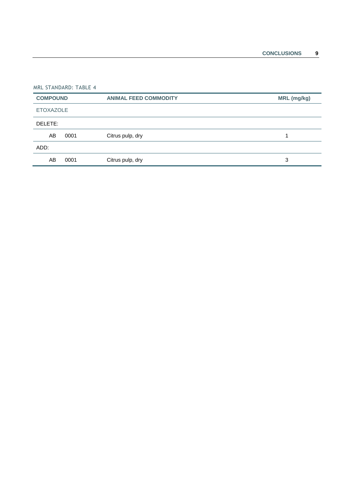|                 | MRL STANDARD: TABLE 4 |                              |             |  |  |
|-----------------|-----------------------|------------------------------|-------------|--|--|
| <b>COMPOUND</b> |                       | <b>ANIMAL FEED COMMODITY</b> | MRL (mg/kg) |  |  |
|                 | <b>ETOXAZOLE</b>      |                              |             |  |  |
| DELETE:         |                       |                              |             |  |  |
| AB              | 0001                  | Citrus pulp, dry             |             |  |  |
| ADD:            |                       |                              |             |  |  |
| AB              | 0001                  | Citrus pulp, dry             | 3           |  |  |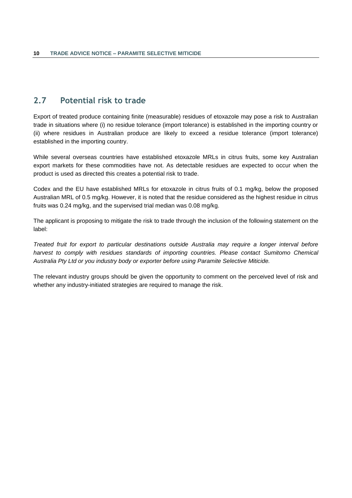### <span id="page-12-0"></span>**2.7 Potential risk to trade**

Export of treated produce containing finite (measurable) residues of etoxazole may pose a risk to Australian trade in situations where (i) no residue tolerance (import tolerance) is established in the importing country or (ii) where residues in Australian produce are likely to exceed a residue tolerance (import tolerance) established in the importing country.

While several overseas countries have established etoxazole MRLs in citrus fruits, some key Australian export markets for these commodities have not. As detectable residues are expected to occur when the product is used as directed this creates a potential risk to trade.

Codex and the EU have established MRLs for etoxazole in citrus fruits of 0.1 mg/kg, below the proposed Australian MRL of 0.5 mg/kg. However, it is noted that the residue considered as the highest residue in citrus fruits was 0.24 mg/kg, and the supervised trial median was 0.08 mg/kg.

The applicant is proposing to mitigate the risk to trade through the inclusion of the following statement on the label:

*Treated fruit for export to particular destinations outside Australia may require a longer interval before*  harvest to comply with residues standards of importing countries. Please contact Sumitomo Chemical *Australia Pty Ltd or you industry body or exporter before using Paramite Selective Miticide.*

The relevant industry groups should be given the opportunity to comment on the perceived level of risk and whether any industry-initiated strategies are required to manage the risk.